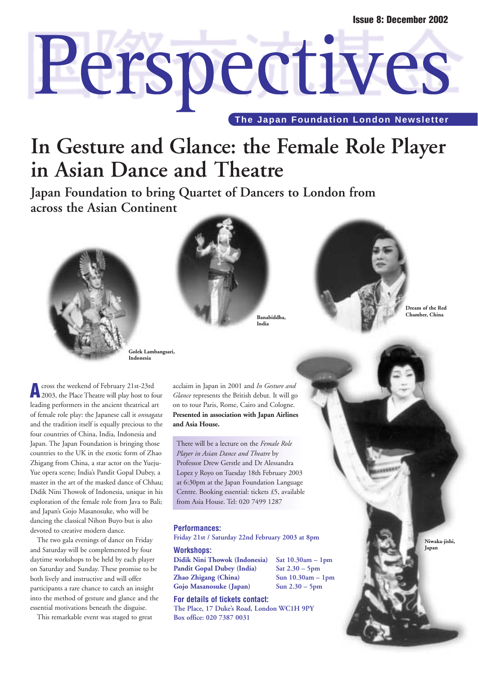# Perspectives **The Japan Foundation London Newsletter**

### **In Gesture and Glance: the Female Role Player in Asian Dance and Theatre**

**Japan Foundation to bring Quartet of Dancers to London from across the Asian Continent** 



**Golek Lambangsari, Indonesia**

**A**cross the weekend of February 21st-23rd 2003, the Place Theatre will play host to four leading performers in the ancient theatrical art of female role play: the Japanese call it *onnagata* and the tradition itself is equally precious to the four countries of China, India, Indonesia and Japan. The Japan Foundation is bringing those countries to the UK in the exotic form of Zhao Zhigang from China, a star actor on the Yueju-Yue opera scene; India's Pandit Gopal Dubey, a master in the art of the masked dance of Chhau; Didik Nini Thowok of Indonesia, unique in his exploration of the female role from Java to Bali; and Japan's Gojo Masanosuke, who will be dancing the classical Nihon Buyo but is also devoted to creative modern dance.

The two gala evenings of dance on Friday and Saturday will be complemented by four daytime workshops to be held by each player on Saturday and Sunday. These promise to be both lively and instructive and will offer participants a rare chance to catch an insight into the method of gesture and glance and the essential motivations beneath the disguise.

This remarkable event was staged to great

acclaim in Japan in 2001 and *In Gesture and Glance* represents the British debut. It will go on to tour Paris, Rome, Cairo and Cologne. **Presented in association with Japan Airlines and Asia House.**

**Chamber, China Banabiddha, India**

There will be a lecture on the *Female Role Player in Asian Dance and Theatre* by Professor Drew Gerstle and Dr Alessandra Lopez y Royo on Tuesday 18th February 2003 at 6:30pm at the Japan Foundation Language Centre. Booking essential: tickets £5, available from Asia House. Tel: 020 7499 1287

#### **Performances:**

**Friday 21st / Saturday 22nd February 2003 at 8pm**

**Workshops: Didik Nini Thowok (Indonesia) Sat 10.30am – 1pm Pandit Gopal Dubey (India) Sat 2.30 – 5pm Zhao Zhigang (China) Sun 10.30am – 1pm Gojo Masanosuke (Japan) Sun 2.30 – 5pm**

#### **For details of tickets contact:**

**The Place, 17 Duke's Road, London WC1H 9PY Box office: 020 7387 0031**



**Dream of the Red** 

**Niwaka-jishi, Japan**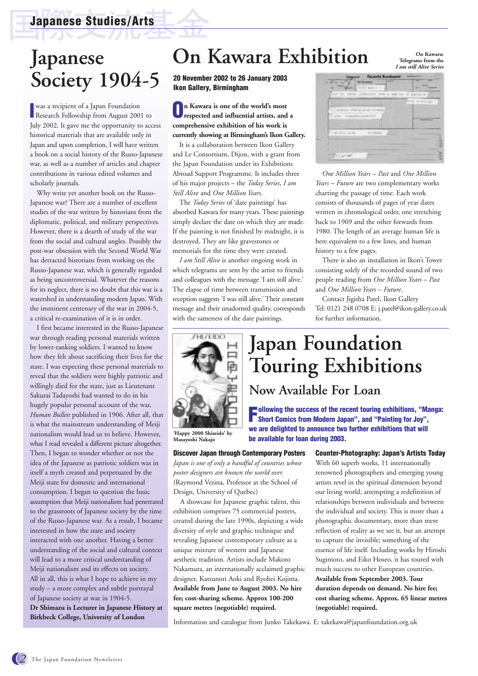### **Japanese Society 1904-5**

**IV** was a recipient of a Japan Foundation<br>
Research Fellowship from August 2001 to was a recipient of a Japan Foundation July 2002. It gave me the opportunity to access historical materials that are available only in Japan and upon completion, I will have written a book on a social history of the Russo-Japanese war, as well as a number of articles and chapter contributions in various edited volumes and scholarly journals.

Why write yet another book on the Russo-Japanese war? There are a number of excellent studies of the war written by historians from the diplomatic, political, and military perspectives. However, there is a dearth of study of the war from the social and cultural angles. Possibly the post-war obsession with the Second World War has detracted historians from working on the Russo-Japanese war, which is generally regarded as being uncontroversial. Whatever the reasons for its neglect, there is no doubt that this war is a watershed in understanding modern Japan. With the imminent centenary of the war in 2004-5, a critical re-examination of it is in order.

I first became interested in the Russo-Japanese war through reading personal materials written by lower-ranking soldiers. I wanted to know how they felt about sacrificing their lives for the state. I was expecting these personal materials to reveal that the soldiers were highly patriotic and willingly died for the state, just as Lieutenant Sakurai Tadayoshi had wanted to do in his hugely popular personal account of the war, *Human Bullets* published in 1906. After all, that is what the mainstream understanding of Meiji nationalism would lead us to believe. However, what I read revealed a different picture altogether. Then, I began to wonder whether or not the idea of the Japanese as patriotic soldiers was in itself a myth created and perpetuated by the Meiji state for domestic and international consumption. I began to question the basic assumption that Meiji nationalism had penetrated to the grassroots of Japanese society by the time of the Russo-Japanese war. As a result, I became interested in how the state and society interacted with one another. Having a better understanding of the social and cultural context will lead to a more critical understanding of Meiji nationalism and its effects on society. All in all, this is what I hope to achieve in my study – a more complex and subtle portrayal of Japanese society at war in 1904-5. **Dr Shimazu is Lecturer in Japanese History at Birkbeck College, University of London** 

### **On Kawara Exhibition**

**20 November 2002 to 26 January 2003 Ikon Gallery, Birmingham**

**On Kawara is one of the world's most respected and influential artists, and a comprehensive exhibition of his work is currently showing at Birmingham's Ikon Gallery.** 

It is a collaboration between Ikon Gallery and Le Consortium, Dijon, with a grant from the Japan Foundation under its Exhibitions Abroad Support Programme. It includes three of his major projects – the *Today Series*, *I am Still Alive* and *One Million Years*.

The *Today Series* of 'date paintings' has absorbed Kawara for many years. These paintings simply declare the date on which they are made. If the painting is not finished by midnight, it is destroyed. They are like gravestones or memorials for the time they were created.

*I am Still Alive* is another ongoing work in which telegrams are sent by the artist to friends and colleagues with the message 'I am still alive.' The elapse of time between transmission and reception suggests 'I was still alive.' Their constant message and their unadorned quality, corresponds with the sameness of the date paintings.



**'Happy 2000 Shiseido' by Masayoshi Nakajo**

#### **Discover Japan through Contemporary Posters**

*Japan is one of only a handful of countries whose poster designers are known the world over.* (Raymond Vezina, Professor at the School of Design, University of Quebec)

A showcase for Japanese graphic talent, this exhibition comprises 75 commercial posters, created during the late 1990s, depicting a wide diversity of style and graphic technique and revealing Japanese contemporary culture as a unique mixture of western and Japanese aesthetic tradition. Artists include Makoto Nakamura, an internationally acclaimed graphic designer, Katsunori Aoki and Ryohei Kojima. **Available from June to August 2003. No hire fee; cost-sharing scheme. Approx 100-200 square metres (negotiable) required.**

| r u<br>mas los:<br>TO AL<br>٠<br>HIT INT |  |  |
|------------------------------------------|--|--|
|                                          |  |  |
|                                          |  |  |
|                                          |  |  |
| J at Mar alle                            |  |  |
|                                          |  |  |

**On Kawara: Telegrams from the**  *I am still Alive Series*

*One Million Years – Past* and *One Million Years – Future* are two complementary works charting the passage of time. Each work consists of thousands of pages of year dates written in chronological order, one stretching back to 1969 and the other forwards from 1980. The length of an average human life is here equivalent to a few lines, and human history to a few pages.

There is also an installation in Ikon's Tower consisting solely of the recorded sound of two people reading from *One Million Years – Past* and *One Million Years – Future*.

Contact Jigisha Patel, Ikon Gallery Tel: 0121 248 0708 E: j.patel@ikon-gallery.co.uk for further information.

## **Japan Foundation Touring Exhibitions**

### **Now Available For Loan**

**Following the success of the recent touring exhibitions, "Manga: Short Comics from Modern Japan", and "Painting for Joy", we are delighted to announce two further exhibitions that will be available for loan during 2003.**

#### **Counter-Photography: Japan's Artists Today**

With 60 superb works, 11 internationally renowned photographers and emerging young artists revel in the spiritual dimension beyond our living world, attempting a redefinition of relationships between individuals and between the individual and society. This is more than a photographic documentary, more than mere reflection of reality as we see it, but an attempt to capture the invisible; something of the essence of life itself. Including works by Hiroshi Sugimoto, and Eiko Hoseo, it has toured with much success to other European countries. **Available from September 2003. Tour duration depends on demand. No hire fee; cost sharing scheme. Approx. 65 linear metres (negotiable) required.**

Information and catalogue from Junko Takekawa. E: takekawa@japanfoundation.org.uk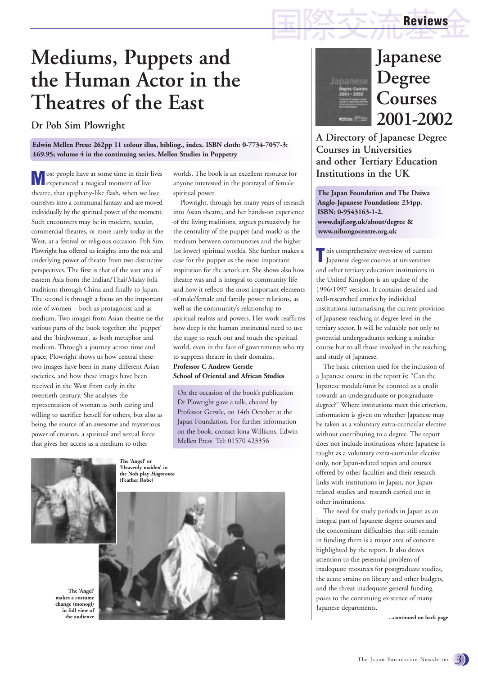### **Mediums, Puppets and the Human Actor in the Theatres of the East**

### **Dr Poh Sim Plowright**

**Edwin Mellen Press: 262pp 11 colour illus, bibliog., index. ISBN cloth: 0-7734-7057-3: £69.95; volume 4 in the continuing series, Mellen Studies in Puppetry**

**M** ost people have at some time in their lives<br>experienced a magical moment of live theatre, that epiphany-like flash, when we lose ourselves into a communal fantasy and are moved individually by the spiritual power of the moment. Such encounters may be in modern, secular, commercial theatres, or more rarely today in the West, at a festival or religious occasion. Poh Sim Plowright has offered us insights into the role and underlying power of theatre from two distinctive perspectives. The first is that of the vast area of eastern Asia from the Indian/Thai/Malay folk traditions through China and finally to Japan. The second is through a focus on the important role of women – both as protagonist and as medium. Two images from Asian theatre tie the various parts of the book together: the 'puppet' and the 'birdwoman', as both metaphor and medium. Through a journey across time and space, Plowright shows us how central these two images have been in many different Asian societies, and how these images have been received in the West from early in the twentieth century. She analyses the representation of woman as both caring and willing to sacrifice herself for others, but also as being the source of an awesome and mysterious power of creation, a spiritual and sexual force that gives her access as a medium to other

worlds. The book is an excellent resource for anyone interested in the portrayal of female spiritual power.

Plowright, through her many years of research into Asian theatre, and her hands-on experience of the living traditions, argues persuasively for the centrality of the puppet (and mask) as the medium between communities and the higher (or lower) spiritual worlds. She further makes a case for the puppet as the most important inspiration for the actor's art. She shows also how theatre was and is integral to community life and how it reflects the most important elements of male/female and family power relations, as well as the community's relationship to spiritual realms and powers. Her work reaffirms how deep is the human instinctual need to use the stage to reach out and touch the spiritual world, even in the face of governments who try to suppress theatre in their domains. **Professor C Andrew Gerstle**

#### **School of Oriental and African Studies**

On the occasion of the book's publication Dr Plowright gave a talk, chaired by Professor Gerstle, on 14th October at the Japan Foundation. For further information on the book, contact Iona Williams, Edwin Mellen Press Tel: 01570 423356



**The 'Angel' or 'Heavenly maiden' in the Noh play** *Hagoromo* **(Feather Robe)**

**The 'Angel' makes a costume change (monogi) in full view of the audience**





### **Japanese Degree Courses 2001-2002**

**Reviews**

**A Directory of Japanese Degree Courses in Universities and other Tertiary Education Institutions in the UK**

**The Japan Foundation and The Daiwa Anglo-Japanese Foundation: 234pp. ISBN: 0-9543163-1-2. www.dajf.org.uk/about/degree & www.nihongocentre.org.uk**

**T**his comprehensive overview of current Japanese degree courses at universities and other tertiary education institutions in the United Kingdom is an update of the 1996/1997 version. It contains detailed and well-researched entries by individual institutions summarising the current provision of Japanese teaching at degree level in the tertiary sector. It will be valuable not only to potential undergraduates seeking a suitable course but to all those involved in the teaching and study of Japanese.

The basic criterion used for the inclusion of a Japanese course in the report is: "Can the Japanese module/unit be counted as a credit towards an undergraduate or postgraduate degree?" Where institutions meet this criterion, information is given on whether Japanese may be taken as a voluntary extra-curricular elective without contributing to a degree. The report does not include institutions where Japanese is taught as a voluntary extra-curricular elective only, nor Japan-related topics and courses offered by other faculties and their research links with institutions in Japan, nor Japanrelated studies and research carried out in other institutions.

The need for study periods in Japan as an integral part of Japanese degree courses and the concomitant difficulties that still remain in funding them is a major area of concern highlighted by the report. It also draws attention to the perennial problem of inadequate resources for postgraduate studies, the acute strains on library and other budgets, and the threat inadequate general funding poses to the continuing existence of many Japanese departments.

**...continued on back page**